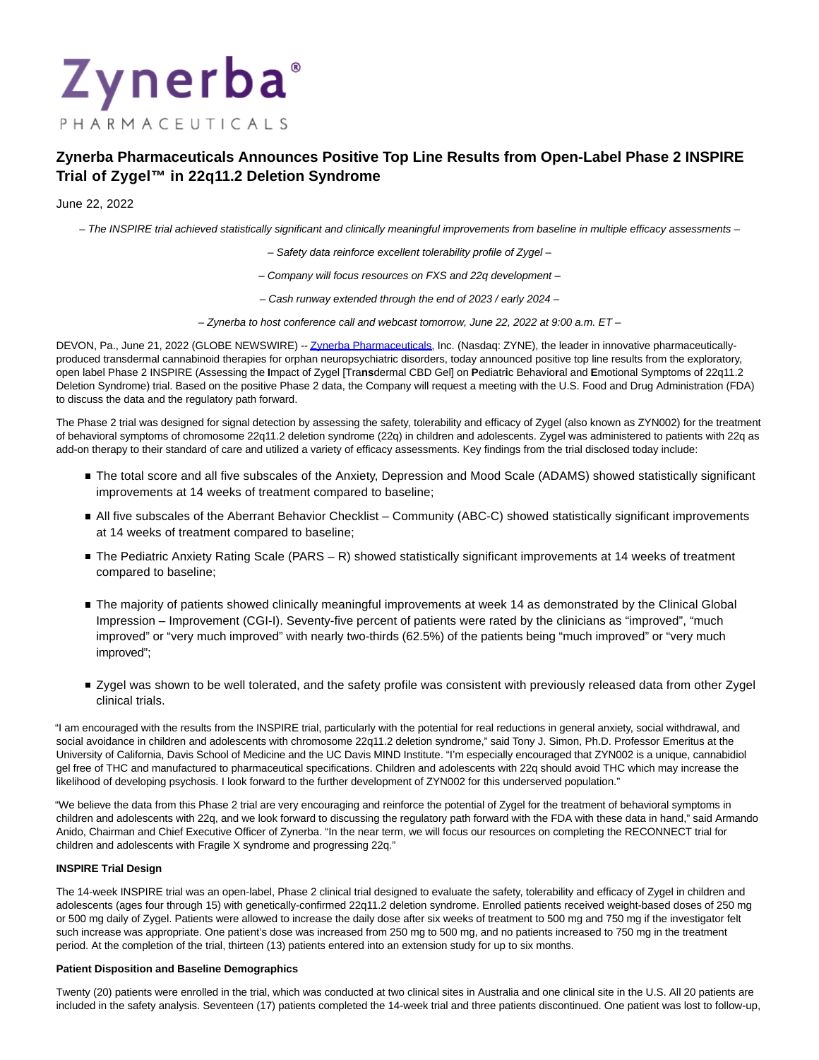# Zynerba PHARMACEUTICALS

# **Zynerba Pharmaceuticals Announces Positive Top Line Results from Open-Label Phase 2 INSPIRE Trial of Zygel™ in 22q11.2 Deletion Syndrome**

# June 22, 2022

– The INSPIRE trial achieved statistically significant and clinically meaningful improvements from baseline in multiple efficacy assessments –

- Safety data reinforce excellent tolerability profile of Zygel –
- Company will focus resources on FXS and 22q development –
- Cash runway extended through the end of 2023 / early 2024 –
- Zynerba to host conference call and webcast tomorrow, June 22, 2022 at 9:00 a.m. ET –

DEVON, Pa., June 21, 2022 (GLOBE NEWSWIRE) -[- Zynerba Pharmaceuticals,](https://www.globenewswire.com/Tracker?data=mgCPoc4XASavdbuKJ_cjjSb4nFPrPfVT9-OvbtXPVRQEp9vnM0bnJV2l3tXsqhXxaU2U0ZybUTBnoQGJowCVH1CM0LMHfV80tTgIs124UKve5pVYuEXrSNW3YlhfBHi_hXyJtT9Xfqz0ADROBCKhV72kb2CiET-4b40Q_VgzzyrwE2fyRvxZCh2A9G_qEa01pCEUWzHcIECVwghDRjCBNSEBrhxLxsFqTaVmgCg7fHYvV8qjlmX-cuQjH2_IwYb8vZxpvt4pqxJUh4aCPUPfJ2R1CWG1n518_x8gLmvNOvxPYaG4XO0Vqz7vQr0IVTIfSw5GM1ckLMZW9N9CW2CFGVZQWS8zwI11Ia7fwXoz5dOao5K1_OuP6InQXlQUa-1yCUvWTjpnKGrzghgESQ723VngJNz6w_BEwL7ygdUaVagiOu6NhkZSfoHqz0pAIH-WSVGauO6kHQOdIfVvlWctuC2kfCNtkt6GFjwqAShbMvA=) Inc. (Nasdaq: ZYNE), the leader in innovative pharmaceuticallyproduced transdermal cannabinoid therapies for orphan neuropsychiatric disorders, today announced positive top line results from the exploratory, open label Phase 2 INSPIRE (Assessing the **I**mpact of Zygel [Tra**ns**dermal CBD Gel] on **P**ediatr**i**c Behavio**r**al and **E**motional Symptoms of 22q11.2 Deletion Syndrome) trial. Based on the positive Phase 2 data, the Company will request a meeting with the U.S. Food and Drug Administration (FDA) to discuss the data and the regulatory path forward.

The Phase 2 trial was designed for signal detection by assessing the safety, tolerability and efficacy of Zygel (also known as ZYN002) for the treatment of behavioral symptoms of chromosome 22q11.2 deletion syndrome (22q) in children and adolescents. Zygel was administered to patients with 22q as add-on therapy to their standard of care and utilized a variety of efficacy assessments. Key findings from the trial disclosed today include:

- The total score and all five subscales of the Anxiety, Depression and Mood Scale (ADAMS) showed statistically significant improvements at 14 weeks of treatment compared to baseline;
- All five subscales of the Aberrant Behavior Checklist Community (ABC-C) showed statistically significant improvements at 14 weeks of treatment compared to baseline;
- The Pediatric Anxiety Rating Scale (PARS R) showed statistically significant improvements at 14 weeks of treatment compared to baseline;
- The majority of patients showed clinically meaningful improvements at week 14 as demonstrated by the Clinical Global Impression – Improvement (CGI-I). Seventy-five percent of patients were rated by the clinicians as "improved", "much improved" or "very much improved" with nearly two-thirds (62.5%) of the patients being "much improved" or "very much improved";
- Zygel was shown to be well tolerated, and the safety profile was consistent with previously released data from other Zygel clinical trials.

"I am encouraged with the results from the INSPIRE trial, particularly with the potential for real reductions in general anxiety, social withdrawal, and social avoidance in children and adolescents with chromosome 22q11.2 deletion syndrome," said Tony J. Simon, Ph.D. Professor Emeritus at the University of California, Davis School of Medicine and the UC Davis MIND Institute. "I'm especially encouraged that ZYN002 is a unique, cannabidiol gel free of THC and manufactured to pharmaceutical specifications. Children and adolescents with 22q should avoid THC which may increase the likelihood of developing psychosis. I look forward to the further development of ZYN002 for this underserved population."

"We believe the data from this Phase 2 trial are very encouraging and reinforce the potential of Zygel for the treatment of behavioral symptoms in children and adolescents with 22q, and we look forward to discussing the regulatory path forward with the FDA with these data in hand," said Armando Anido, Chairman and Chief Executive Officer of Zynerba. "In the near term, we will focus our resources on completing the RECONNECT trial for children and adolescents with Fragile X syndrome and progressing 22q."

# **INSPIRE Trial Design**

The 14-week INSPIRE trial was an open-label, Phase 2 clinical trial designed to evaluate the safety, tolerability and efficacy of Zygel in children and adolescents (ages four through 15) with genetically-confirmed 22q11.2 deletion syndrome. Enrolled patients received weight-based doses of 250 mg or 500 mg daily of Zygel. Patients were allowed to increase the daily dose after six weeks of treatment to 500 mg and 750 mg if the investigator felt such increase was appropriate. One patient's dose was increased from 250 mg to 500 mg, and no patients increased to 750 mg in the treatment period. At the completion of the trial, thirteen (13) patients entered into an extension study for up to six months.

# **Patient Disposition and Baseline Demographics**

Twenty (20) patients were enrolled in the trial, which was conducted at two clinical sites in Australia and one clinical site in the U.S. All 20 patients are included in the safety analysis. Seventeen (17) patients completed the 14-week trial and three patients discontinued. One patient was lost to follow-up,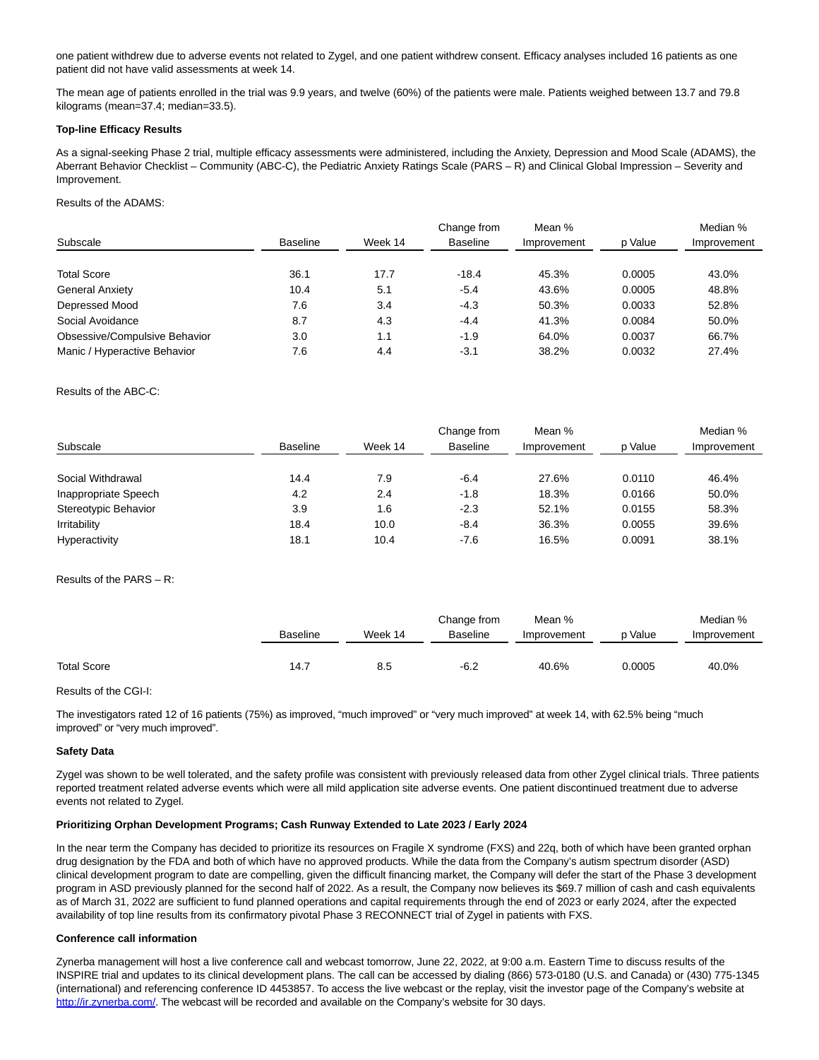one patient withdrew due to adverse events not related to Zygel, and one patient withdrew consent. Efficacy analyses included 16 patients as one patient did not have valid assessments at week 14.

The mean age of patients enrolled in the trial was 9.9 years, and twelve (60%) of the patients were male. Patients weighed between 13.7 and 79.8 kilograms (mean=37.4; median=33.5).

# **Top-line Efficacy Results**

As a signal-seeking Phase 2 trial, multiple efficacy assessments were administered, including the Anxiety, Depression and Mood Scale (ADAMS), the Aberrant Behavior Checklist – Community (ABC-C), the Pediatric Anxiety Ratings Scale (PARS – R) and Clinical Global Impression – Severity and Improvement.

Results of the ADAMS:

| Subscale                      |                 | Week 14 | Change from<br><b>Baseline</b> | Mean %<br>Improvement |         | Median %<br>Improvement |
|-------------------------------|-----------------|---------|--------------------------------|-----------------------|---------|-------------------------|
|                               | <b>Baseline</b> |         |                                |                       | p Value |                         |
| <b>Total Score</b>            | 36.1            | 17.7    | $-18.4$                        | 45.3%                 | 0.0005  | 43.0%                   |
| <b>General Anxiety</b>        | 10.4            | 5.1     | $-5.4$                         | 43.6%                 | 0.0005  | 48.8%                   |
| Depressed Mood                | 7.6             | 3.4     | $-4.3$                         | 50.3%                 | 0.0033  | 52.8%                   |
| Social Avoidance              | 8.7             | 4.3     | $-4.4$                         | 41.3%                 | 0.0084  | 50.0%                   |
| Obsessive/Compulsive Behavior | 3.0             | 1.1     | $-1.9$                         | 64.0%                 | 0.0037  | 66.7%                   |
| Manic / Hyperactive Behavior  | 7.6             | 4.4     | $-3.1$                         | 38.2%                 | 0.0032  | 27.4%                   |

Results of the ABC-C:

| Subscale             | <b>Baseline</b> | Week 14 | Change from<br><b>Baseline</b> | Mean %<br>Improvement | p Value | Median %<br>Improvement |
|----------------------|-----------------|---------|--------------------------------|-----------------------|---------|-------------------------|
|                      |                 |         |                                |                       |         |                         |
| Social Withdrawal    | 14.4            | 7.9     | $-6.4$                         | 27.6%                 | 0.0110  | 46.4%                   |
| Inappropriate Speech | 4.2             | 2.4     | -1.8                           | 18.3%                 | 0.0166  | 50.0%                   |
| Stereotypic Behavior | 3.9             | 1.6     | $-2.3$                         | 52.1%                 | 0.0155  | 58.3%                   |
| Irritability         | 18.4            | 10.0    | $-8.4$                         | 36.3%                 | 0.0055  | 39.6%                   |
| Hyperactivity        | 18.1            | 10.4    | $-7.6$                         | 16.5%                 | 0.0091  | 38.1%                   |

Results of the PARS – R:

|             |                 |         | Change from | Mean %      |         | Median %    |
|-------------|-----------------|---------|-------------|-------------|---------|-------------|
|             | <b>Baseline</b> | Week 14 | Baseline    | Improvement | p Value | Improvement |
|             |                 |         |             |             |         |             |
| Total Score | 14.7            | 8.5     | $-6.2$      | 40.6%       | 0.0005  | 40.0%       |

Results of the CGI-I:

The investigators rated 12 of 16 patients (75%) as improved, "much improved" or "very much improved" at week 14, with 62.5% being "much improved" or "very much improved".

# **Safety Data**

Zygel was shown to be well tolerated, and the safety profile was consistent with previously released data from other Zygel clinical trials. Three patients reported treatment related adverse events which were all mild application site adverse events. One patient discontinued treatment due to adverse events not related to Zygel.

# **Prioritizing Orphan Development Programs; Cash Runway Extended to Late 2023 / Early 2024**

In the near term the Company has decided to prioritize its resources on Fragile X syndrome (FXS) and 22q, both of which have been granted orphan drug designation by the FDA and both of which have no approved products. While the data from the Company's autism spectrum disorder (ASD) clinical development program to date are compelling, given the difficult financing market, the Company will defer the start of the Phase 3 development program in ASD previously planned for the second half of 2022. As a result, the Company now believes its \$69.7 million of cash and cash equivalents as of March 31, 2022 are sufficient to fund planned operations and capital requirements through the end of 2023 or early 2024, after the expected availability of top line results from its confirmatory pivotal Phase 3 RECONNECT trial of Zygel in patients with FXS.

# **Conference call information**

Zynerba management will host a live conference call and webcast tomorrow, June 22, 2022, at 9:00 a.m. Eastern Time to discuss results of the INSPIRE trial and updates to its clinical development plans. The call can be accessed by dialing (866) 573-0180 (U.S. and Canada) or (430) 775-1345 (international) and referencing conference ID 4453857. To access the live webcast or the replay, visit the investor page of the Company's website at [http://ir.zynerba.com/.](https://www.globenewswire.com/Tracker?data=xvcLdpk4_Y9T3oeLGpM4UCUXZqiupDoKxEsrjXBK-BfKyN7mKDL9ShYu5_bfcemCcOmOTlBQEVUT19r6x_QYT6b7adUhAJT98L7k2DCsJc0=) The webcast will be recorded and available on the Company's website for 30 days.